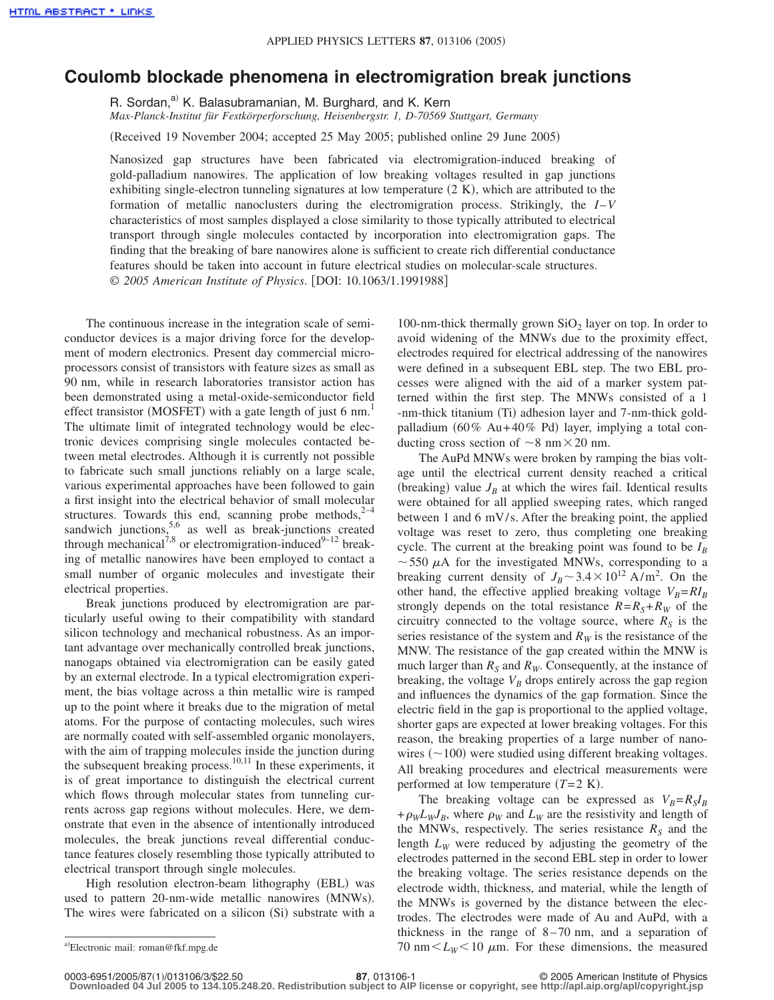## **Coulomb blockade phenomena in electromigration break junctions**

R. Sordan,<sup>a)</sup> K. Balasubramanian, M. Burghard, and K. Kern *Max-Planck-Institut für Festkörperforschung, Heisenbergstr. 1, D-70569 Stuttgart, Germany*

(Received 19 November 2004; accepted 25 May 2005; published online 29 June 2005)

Nanosized gap structures have been fabricated via electromigration-induced breaking of gold-palladium nanowires. The application of low breaking voltages resulted in gap junctions exhibiting single-electron tunneling signatures at low temperature (2 K), which are attributed to the formation of metallic nanoclusters during the electromigration process. Strikingly, the *I*–*V* characteristics of most samples displayed a close similarity to those typically attributed to electrical transport through single molecules contacted by incorporation into electromigration gaps. The finding that the breaking of bare nanowires alone is sufficient to create rich differential conductance features should be taken into account in future electrical studies on molecular-scale structures. © 2005 American Institute of Physics. [DOI: 10.1063/1.1991988]

The continuous increase in the integration scale of semiconductor devices is a major driving force for the development of modern electronics. Present day commercial microprocessors consist of transistors with feature sizes as small as 90 nm, while in research laboratories transistor action has been demonstrated using a metal-oxide-semiconductor field effect transistor (MOSFET) with a gate length of just 6 nm.<sup>1</sup> The ultimate limit of integrated technology would be electronic devices comprising single molecules contacted between metal electrodes. Although it is currently not possible to fabricate such small junctions reliably on a large scale, various experimental approaches have been followed to gain a first insight into the electrical behavior of small molecular structures. Towards this end, scanning probe methods, $2^{-4}$ sandwich junctions,<sup>5,6</sup> as well as break-junctions created through mechanical<sup>7,8</sup> or electromigration-induced<sup>9-12</sup> breaking of metallic nanowires have been employed to contact a small number of organic molecules and investigate their electrical properties.

Break junctions produced by electromigration are particularly useful owing to their compatibility with standard silicon technology and mechanical robustness. As an important advantage over mechanically controlled break junctions, nanogaps obtained via electromigration can be easily gated by an external electrode. In a typical electromigration experiment, the bias voltage across a thin metallic wire is ramped up to the point where it breaks due to the migration of metal atoms. For the purpose of contacting molecules, such wires are normally coated with self-assembled organic monolayers, with the aim of trapping molecules inside the junction during the subsequent breaking process.<sup>10,11</sup> In these experiments, it is of great importance to distinguish the electrical current which flows through molecular states from tunneling currents across gap regions without molecules. Here, we demonstrate that even in the absence of intentionally introduced molecules, the break junctions reveal differential conductance features closely resembling those typically attributed to electrical transport through single molecules.

High resolution electron-beam lithography (EBL) was used to pattern 20-nm-wide metallic nanowires (MNWs). The wires were fabricated on a silicon (Si) substrate with a

100-nm-thick thermally grown  $SiO<sub>2</sub>$  layer on top. In order to avoid widening of the MNWs due to the proximity effect, electrodes required for electrical addressing of the nanowires were defined in a subsequent EBL step. The two EBL processes were aligned with the aid of a marker system patterned within the first step. The MNWs consisted of a 1 -nm-thick titanium (Ti) adhesion layer and 7-nm-thick goldpalladium (60% Au+40% Pd) layer, implying a total conducting cross section of  $\sim$ 8 nm $\times$ 20 nm.

The AuPd MNWs were broken by ramping the bias voltage until the electrical current density reached a critical (breaking) value  $J_B$  at which the wires fail. Identical results were obtained for all applied sweeping rates, which ranged between 1 and 6 mV/s. After the breaking point, the applied voltage was reset to zero, thus completing one breaking cycle. The current at the breaking point was found to be  $I_B$  $\sim$  550  $\mu$ A for the investigated MNWs, corresponding to a breaking current density of  $J_B \sim 3.4 \times 10^{12}$  A/m<sup>2</sup>. On the other hand, the effective applied breaking voltage  $V_B = RI_B$ strongly depends on the total resistance  $R = R<sub>S</sub> + R<sub>W</sub>$  of the circuitry connected to the voltage source, where  $R<sub>S</sub>$  is the series resistance of the system and  $R_W$  is the resistance of the MNW. The resistance of the gap created within the MNW is much larger than  $R_S$  and  $R_W$ . Consequently, at the instance of breaking, the voltage  $V_B$  drops entirely across the gap region and influences the dynamics of the gap formation. Since the electric field in the gap is proportional to the applied voltage, shorter gaps are expected at lower breaking voltages. For this reason, the breaking properties of a large number of nanowires  $(\sim 100)$  were studied using different breaking voltages. All breaking procedures and electrical measurements were performed at low temperature  $(T=2 K)$ .

The breaking voltage can be expressed as  $V_B = R_S I_B$  $+\rho_W L_W J_B$ , where  $\rho_W$  and  $L_W$  are the resistivity and length of the MNWs, respectively. The series resistance  $R<sub>S</sub>$  and the length  $L_W$  were reduced by adjusting the geometry of the electrodes patterned in the second EBL step in order to lower the breaking voltage. The series resistance depends on the electrode width, thickness, and material, while the length of the MNWs is governed by the distance between the electrodes. The electrodes were made of Au and AuPd, with a thickness in the range of 8–70 nm, and a separation of a)Electronic mail: roman@fkf.mpg.de 70 nm  $\leq L_W \leq 10 \mu$ m. For these dimensions, the measured

Electronic mail: roman@fkf.mpg.de

<sup>17, 013106-1&</sup>lt;br>**87**, 013106-1

**Downloaded 04 Jul 2005 to 134.105.248.20. Redistribution subject to AIP license or copyright, see http://apl.aip.org/apl/copyright.jsp**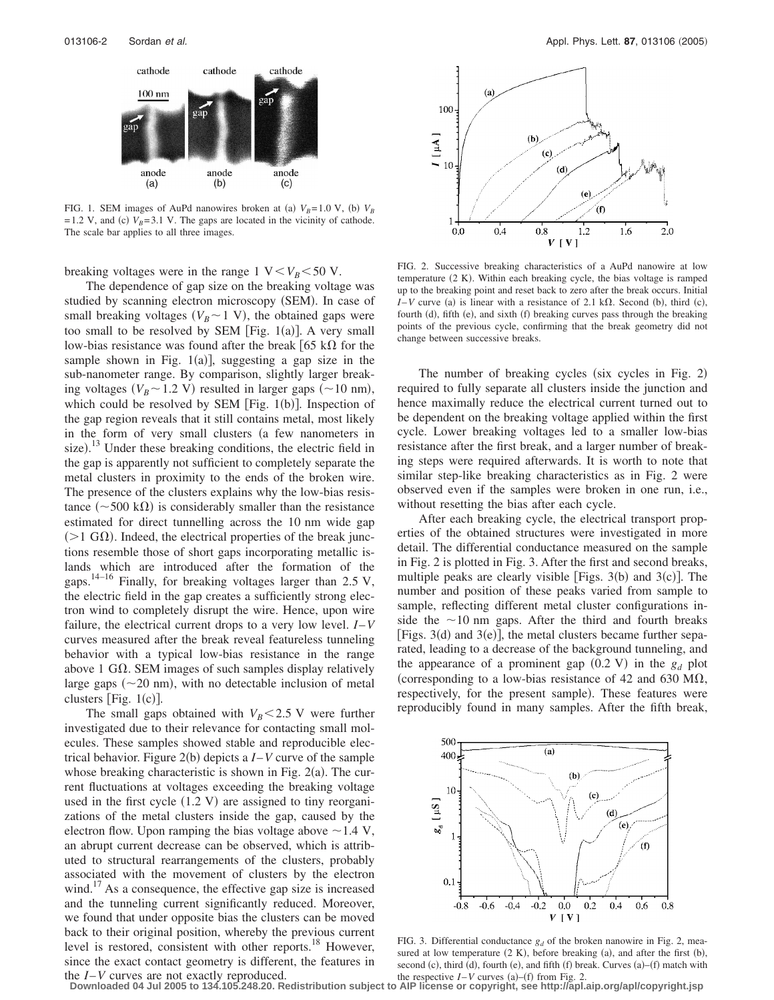

FIG. 1. SEM images of AuPd nanowires broken at (a)  $V_B$ =1.0 V, (b)  $V_B$  $=1.2$  V, and (c)  $V_B$ =3.1 V. The gaps are located in the vicinity of cathode. The scale bar applies to all three images.

breaking voltages were in the range 1  $V < V_B < 50$  V.

The dependence of gap size on the breaking voltage was studied by scanning electron microscopy (SEM). In case of small breaking voltages ( $V_B \sim 1$  V), the obtained gaps were too small to be resolved by SEM [Fig.  $1(a)$ ]. A very small low-bias resistance was found after the break  $[65 \text{ k}\Omega$  for the sample shown in Fig.  $1(a)$ ], suggesting a gap size in the sub-nanometer range. By comparison, slightly larger breaking voltages ( $V_B \sim 1.2$  V) resulted in larger gaps ( $\sim 10$  nm), which could be resolved by SEM [Fig. 1(b)]. Inspection of the gap region reveals that it still contains metal, most likely in the form of very small clusters (a few nanometers in size).<sup>13</sup> Under these breaking conditions, the electric field in the gap is apparently not sufficient to completely separate the metal clusters in proximity to the ends of the broken wire. The presence of the clusters explains why the low-bias resistance ( $\sim$  500 k $\Omega$ ) is considerably smaller than the resistance estimated for direct tunnelling across the 10 nm wide gap  $($  > 1 G $\Omega$ ). Indeed, the electrical properties of the break junctions resemble those of short gaps incorporating metallic islands which are introduced after the formation of the gaps.<sup>14–16</sup> Finally, for breaking voltages larger than 2.5 V, the electric field in the gap creates a sufficiently strong electron wind to completely disrupt the wire. Hence, upon wire failure, the electrical current drops to a very low level. *I*–*V* curves measured after the break reveal featureless tunneling behavior with a typical low-bias resistance in the range above 1 G $\Omega$ . SEM images of such samples display relatively large gaps  $(\sim 20 \text{ nm})$ , with no detectable inclusion of metal clusters [Fig.  $1(c)$ ].

The small gaps obtained with  $V_B < 2.5$  V were further investigated due to their relevance for contacting small molecules. These samples showed stable and reproducible electrical behavior. Figure  $2(b)$  depicts a  $I-V$  curve of the sample whose breaking characteristic is shown in Fig.  $2(a)$ . The current fluctuations at voltages exceeding the breaking voltage used in the first cycle  $(1.2 \text{ V})$  are assigned to tiny reorganizations of the metal clusters inside the gap, caused by the electron flow. Upon ramping the bias voltage above  $\sim$  1.4 V, an abrupt current decrease can be observed, which is attributed to structural rearrangements of the clusters, probably associated with the movement of clusters by the electron wind.<sup>17</sup> As a consequence, the effective gap size is increased and the tunneling current significantly reduced. Moreover, we found that under opposite bias the clusters can be moved back to their original position, whereby the previous current level is restored, consistent with other reports.<sup>18</sup> However, since the exact contact geometry is different, the features in the *I*–*V* curves are not exactly reproduced.



FIG. 2. Successive breaking characteristics of a AuPd nanowire at low temperature (2 K). Within each breaking cycle, the bias voltage is ramped up to the breaking point and reset back to zero after the break occurs. Initial  $I-V$  curve (a) is linear with a resistance of 2.1 k $\Omega$ . Second (b), third (c), fourth (d), fifth (e), and sixth (f) breaking curves pass through the breaking points of the previous cycle, confirming that the break geometry did not change between successive breaks.

The number of breaking cycles (six cycles in Fig. 2) required to fully separate all clusters inside the junction and hence maximally reduce the electrical current turned out to be dependent on the breaking voltage applied within the first cycle. Lower breaking voltages led to a smaller low-bias resistance after the first break, and a larger number of breaking steps were required afterwards. It is worth to note that similar step-like breaking characteristics as in Fig. 2 were observed even if the samples were broken in one run, i.e., without resetting the bias after each cycle.

After each breaking cycle, the electrical transport properties of the obtained structures were investigated in more detail. The differential conductance measured on the sample in Fig. 2 is plotted in Fig. 3. After the first and second breaks, multiple peaks are clearly visible [Figs.  $3(b)$  and  $3(c)$ ]. The number and position of these peaks varied from sample to sample, reflecting different metal cluster configurations inside the  $\sim$ 10 nm gaps. After the third and fourth breaks [Figs.  $3(d)$  and  $3(e)$ ], the metal clusters became further separated, leading to a decrease of the background tunneling, and the appearance of a prominent gap  $(0.2 \text{ V})$  in the  $g_d$  plot (corresponding to a low-bias resistance of 42 and 630 M $\Omega$ , respectively, for the present sample). These features were reproducibly found in many samples. After the fifth break,



FIG. 3. Differential conductance  $g_d$  of the broken nanowire in Fig. 2, measured at low temperature  $(2 K)$ , before breaking  $(a)$ , and after the first  $(b)$ , second (c), third (d), fourth (e), and fifth (f) break. Curves (a)–(f) match with the respective  $I - V$  curves (a)–(f) from Fig. 2.

**Downloaded 04 Jul 2005 to 134.105.248.20. Redistribution subject to AIP license or copyright, see http://apl.aip.org/apl/copyright.jsp**